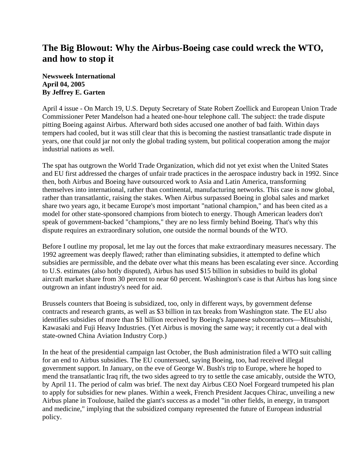## **The Big Blowout: Why the Airbus-Boeing case could wreck the WTO, and how to stop it**

**Newsweek International April 04, 2005 By Jeffrey E. Garten** 

April 4 issue - On March 19, U.S. Deputy Secretary of State Robert Zoellick and European Union Trade Commissioner Peter Mandelson had a heated one-hour telephone call. The subject: the trade dispute pitting Boeing against Airbus. Afterward both sides accused one another of bad faith. Within days tempers had cooled, but it was still clear that this is becoming the nastiest transatlantic trade dispute in years, one that could jar not only the global trading system, but political cooperation among the major industrial nations as well.

The spat has outgrown the World Trade Organization, which did not yet exist when the United States and EU first addressed the charges of unfair trade practices in the aerospace industry back in 1992. Since then, both Airbus and Boeing have outsourced work to Asia and Latin America, transforming themselves into international, rather than continental, manufacturing networks. This case is now global, rather than transatlantic, raising the stakes. When Airbus surpassed Boeing in global sales and market share two years ago, it became Europe's most important "national champion," and has been cited as a model for other state-sponsored champions from biotech to energy. Though American leaders don't speak of government-backed "champions," they are no less firmly behind Boeing. That's why this dispute requires an extraordinary solution, one outside the normal bounds of the WTO.

Before I outline my proposal, let me lay out the forces that make extraordinary measures necessary. The 1992 agreement was deeply flawed; rather than eliminating subsidies, it attempted to define which subsidies are permissible, and the debate over what this means has been escalating ever since. According to U.S. estimates (also hotly disputed), Airbus has used \$15 billion in subsidies to build its global aircraft market share from 30 percent to near 60 percent. Washington's case is that Airbus has long since outgrown an infant industry's need for aid.

Brussels counters that Boeing is subsidized, too, only in different ways, by government defense contracts and research grants, as well as \$3 billion in tax breaks from Washington state. The EU also identifies subsidies of more than \$1 billion received by Boeing's Japanese subcontractors—Mitsubishi, Kawasaki and Fuji Heavy Industries. (Yet Airbus is moving the same way; it recently cut a deal with state-owned China Aviation Industry Corp.)

In the heat of the presidential campaign last October, the Bush administration filed a WTO suit calling for an end to Airbus subsidies. The EU countersued, saying Boeing, too, had received illegal government support. In January, on the eve of George W. Bush's trip to Europe, where he hoped to mend the transatlantic Iraq rift, the two sides agreed to try to settle the case amicably, outside the WTO, by April 11. The period of calm was brief. The next day Airbus CEO Noel Forgeard trumpeted his plan to apply for subsidies for new planes. Within a week, French President Jacques Chirac, unveiling a new Airbus plane in Toulouse, hailed the giant's success as a model "in other fields, in energy, in transport and medicine," implying that the subsidized company represented the future of European industrial policy.